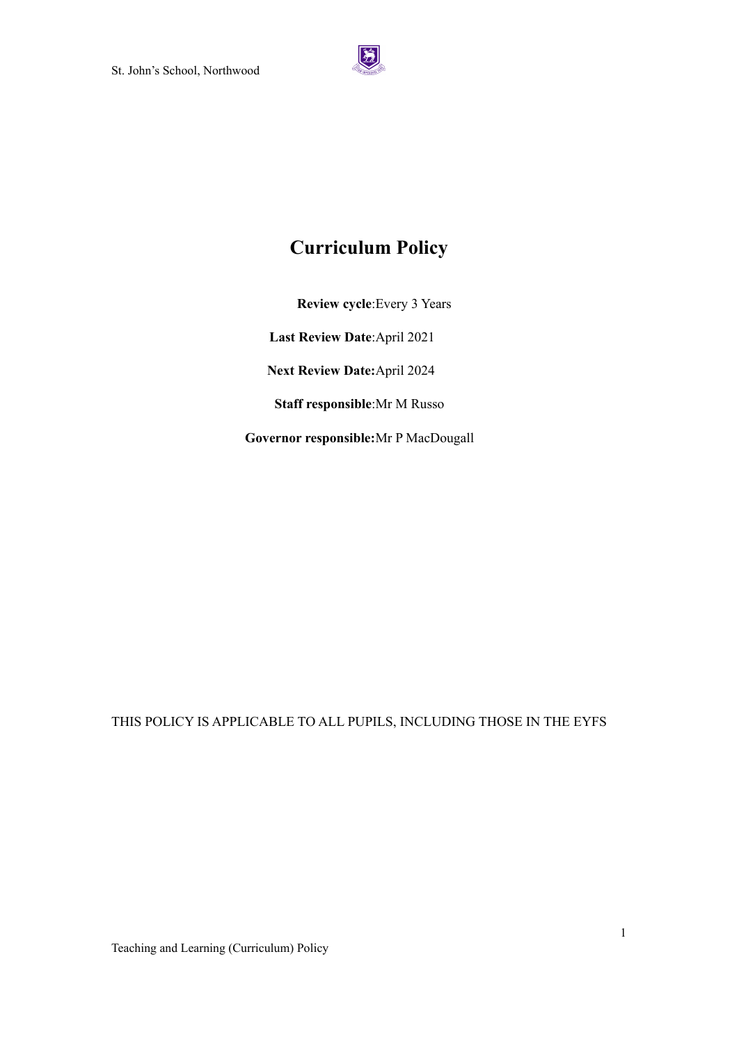

# **Curriculum Policy**

**Review cycle**:Every 3 Years

**Last Review Date**:April 2021

**Next Review Date:**April 2024

**Staff responsible**:Mr M Russo

**Governor responsible:**Mr P MacDougall

# THIS POLICY IS APPLICABLE TO ALL PUPILS, INCLUDING THOSE IN THE EYFS

Teaching and Learning (Curriculum) Policy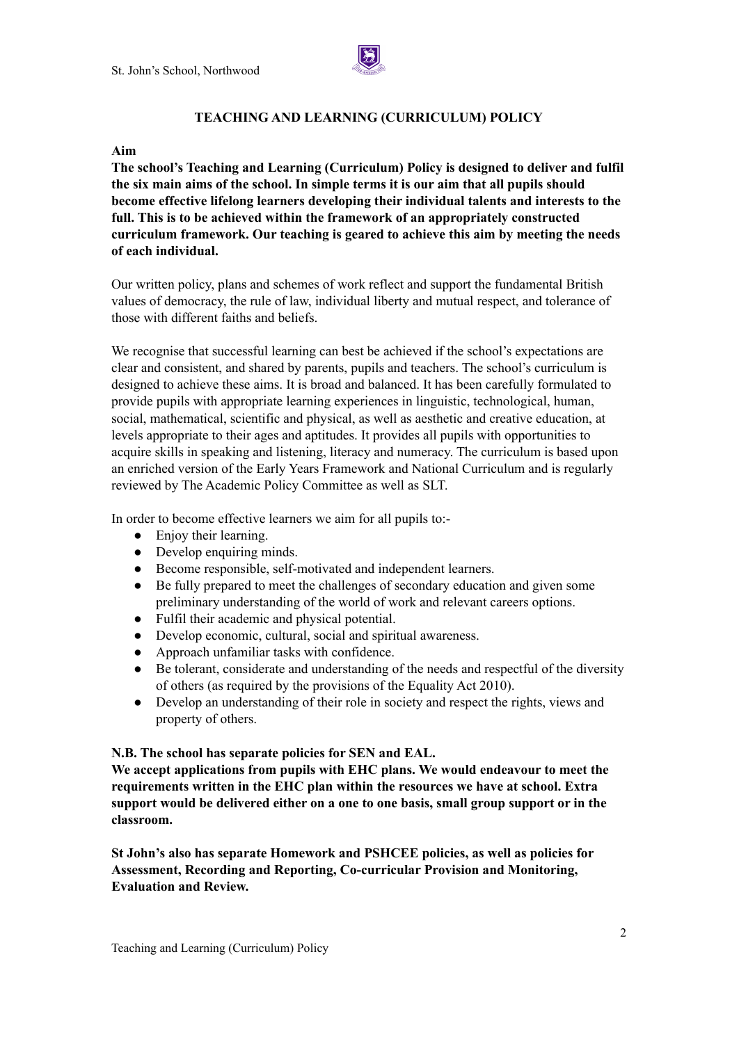

# **TEACHING AND LEARNING (CURRICULUM) POLICY**

#### **Aim**

**The school's Teaching and Learning (Curriculum) Policy is designed to deliver and fulfil the six main aims of the school. In simple terms it is our aim that all pupils should become effective lifelong learners developing their individual talents and interests to the full. This is to be achieved within the framework of an appropriately constructed curriculum framework. Our teaching is geared to achieve this aim by meeting the needs of each individual.**

Our written policy, plans and schemes of work reflect and support the fundamental British values of democracy, the rule of law, individual liberty and mutual respect, and tolerance of those with different faiths and beliefs.

We recognise that successful learning can best be achieved if the school's expectations are clear and consistent, and shared by parents, pupils and teachers. The school's curriculum is designed to achieve these aims. It is broad and balanced. It has been carefully formulated to provide pupils with appropriate learning experiences in linguistic, technological, human, social, mathematical, scientific and physical, as well as aesthetic and creative education, at levels appropriate to their ages and aptitudes. It provides all pupils with opportunities to acquire skills in speaking and listening, literacy and numeracy. The curriculum is based upon an enriched version of the Early Years Framework and National Curriculum and is regularly reviewed by The Academic Policy Committee as well as SLT.

In order to become effective learners we aim for all pupils to:-

- Enjoy their learning.
- Develop enquiring minds.
- Become responsible, self-motivated and independent learners.
- Be fully prepared to meet the challenges of secondary education and given some preliminary understanding of the world of work and relevant careers options.
- Fulfil their academic and physical potential.
- Develop economic, cultural, social and spiritual awareness.
- Approach unfamiliar tasks with confidence.
- Be tolerant, considerate and understanding of the needs and respectful of the diversity of others (as required by the provisions of the Equality Act 2010).
- Develop an understanding of their role in society and respect the rights, views and property of others.

## **N.B. The school has separate policies for SEN and EAL.**

**We accept applications from pupils with EHC plans. We would endeavour to meet the requirements written in the EHC plan within the resources we have at school. Extra support would be delivered either on a one to one basis, small group support or in the classroom.**

**St John's also has separate Homework and PSHCEE policies, as well as policies for Assessment, Recording and Reporting, Co-curricular Provision and Monitoring, Evaluation and Review.**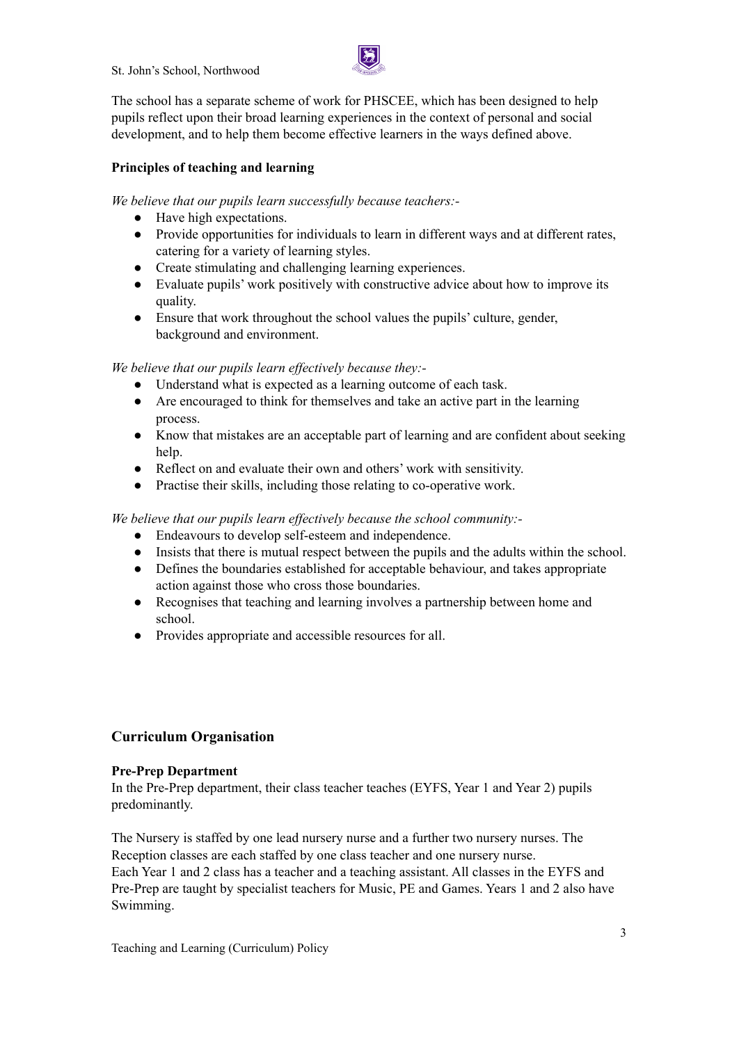St. John's School, Northwood



The school has a separate scheme of work for PHSCEE, which has been designed to help pupils reflect upon their broad learning experiences in the context of personal and social development, and to help them become effective learners in the ways defined above.

# **Principles of teaching and learning**

*We believe that our pupils learn successfully because teachers:-*

- Have high expectations.
- Provide opportunities for individuals to learn in different ways and at different rates, catering for a variety of learning styles.
- Create stimulating and challenging learning experiences.
- Evaluate pupils' work positively with constructive advice about how to improve its quality.
- Ensure that work throughout the school values the pupils' culture, gender, background and environment.

*We believe that our pupils learn ef ectively because they:-*

- Understand what is expected as a learning outcome of each task.
- Are encouraged to think for themselves and take an active part in the learning process.
- Know that mistakes are an acceptable part of learning and are confident about seeking help.
- Reflect on and evaluate their own and others' work with sensitivity.
- Practise their skills, including those relating to co-operative work.

*We believe that our pupils learn ef ectively because the school community:-*

- Endeavours to develop self-esteem and independence.
- Insists that there is mutual respect between the pupils and the adults within the school.
- Defines the boundaries established for acceptable behaviour, and takes appropriate action against those who cross those boundaries.
- Recognises that teaching and learning involves a partnership between home and school.
- Provides appropriate and accessible resources for all.

# **Curriculum Organisation**

## **Pre-Prep Department**

In the Pre-Prep department, their class teacher teaches (EYFS, Year 1 and Year 2) pupils predominantly.

The Nursery is staffed by one lead nursery nurse and a further two nursery nurses. The Reception classes are each staffed by one class teacher and one nursery nurse. Each Year 1 and 2 class has a teacher and a teaching assistant. All classes in the EYFS and Pre-Prep are taught by specialist teachers for Music, PE and Games. Years 1 and 2 also have Swimming.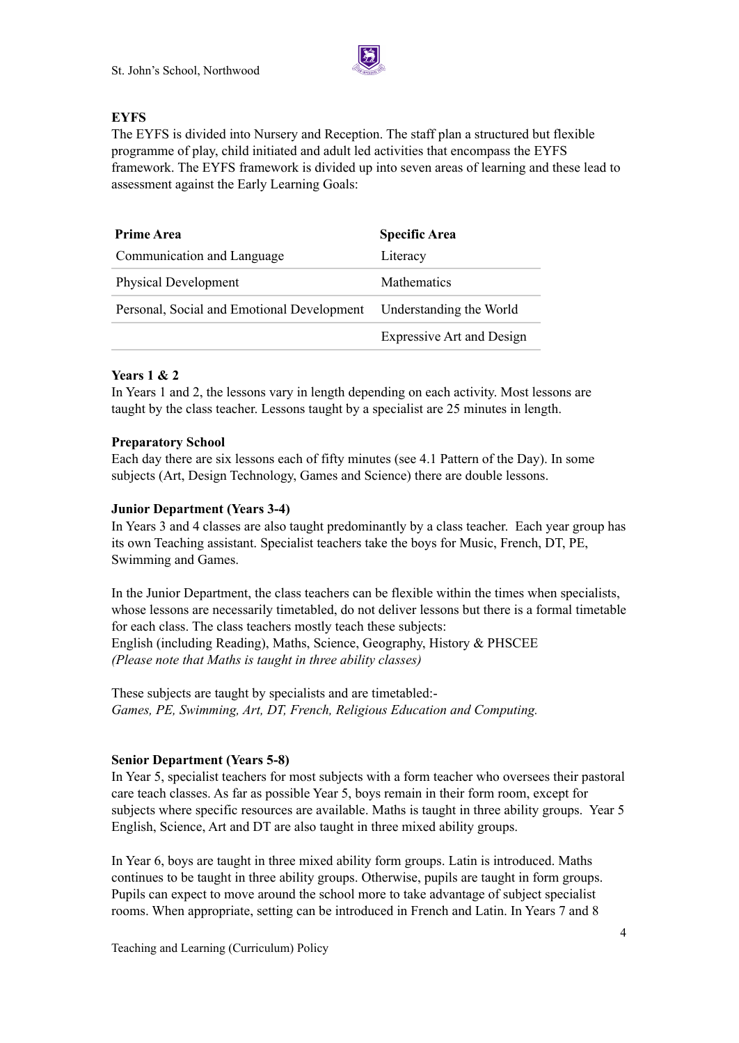

## **EYFS**

The EYFS is divided into Nursery and Reception. The staff plan a structured but flexible programme of play, child initiated and adult led activities that encompass the EYFS framework. The EYFS framework is divided up into seven areas of learning and these lead to assessment against the Early Learning Goals:

| <b>Prime Area</b>                          | <b>Specific Area</b>             |  |  |
|--------------------------------------------|----------------------------------|--|--|
| Communication and Language                 | Literacy                         |  |  |
| <b>Physical Development</b>                | <b>Mathematics</b>               |  |  |
| Personal, Social and Emotional Development | Understanding the World          |  |  |
|                                            | <b>Expressive Art and Design</b> |  |  |

## **Years 1 & 2**

In Years 1 and 2, the lessons vary in length depending on each activity. Most lessons are taught by the class teacher. Lessons taught by a specialist are 25 minutes in length.

## **Preparatory School**

Each day there are six lessons each of fifty minutes (see 4.1 Pattern of the Day). In some subjects (Art, Design Technology, Games and Science) there are double lessons.

## **Junior Department (Years 3-4)**

In Years 3 and 4 classes are also taught predominantly by a class teacher. Each year group has its own Teaching assistant. Specialist teachers take the boys for Music, French, DT, PE, Swimming and Games.

In the Junior Department, the class teachers can be flexible within the times when specialists, whose lessons are necessarily timetabled, do not deliver lessons but there is a formal timetable for each class. The class teachers mostly teach these subjects: English (including Reading), Maths, Science, Geography, History & PHSCEE *(Please note that Maths is taught in three ability classes)*

These subjects are taught by specialists and are timetabled:- *Games, PE, Swimming, Art, DT, French, Religious Education and Computing.*

## **Senior Department (Years 5-8)**

In Year 5, specialist teachers for most subjects with a form teacher who oversees their pastoral care teach classes. As far as possible Year 5, boys remain in their form room, except for subjects where specific resources are available. Maths is taught in three ability groups. Year 5 English, Science, Art and DT are also taught in three mixed ability groups.

In Year 6, boys are taught in three mixed ability form groups. Latin is introduced. Maths continues to be taught in three ability groups. Otherwise, pupils are taught in form groups. Pupils can expect to move around the school more to take advantage of subject specialist rooms. When appropriate, setting can be introduced in French and Latin. In Years 7 and 8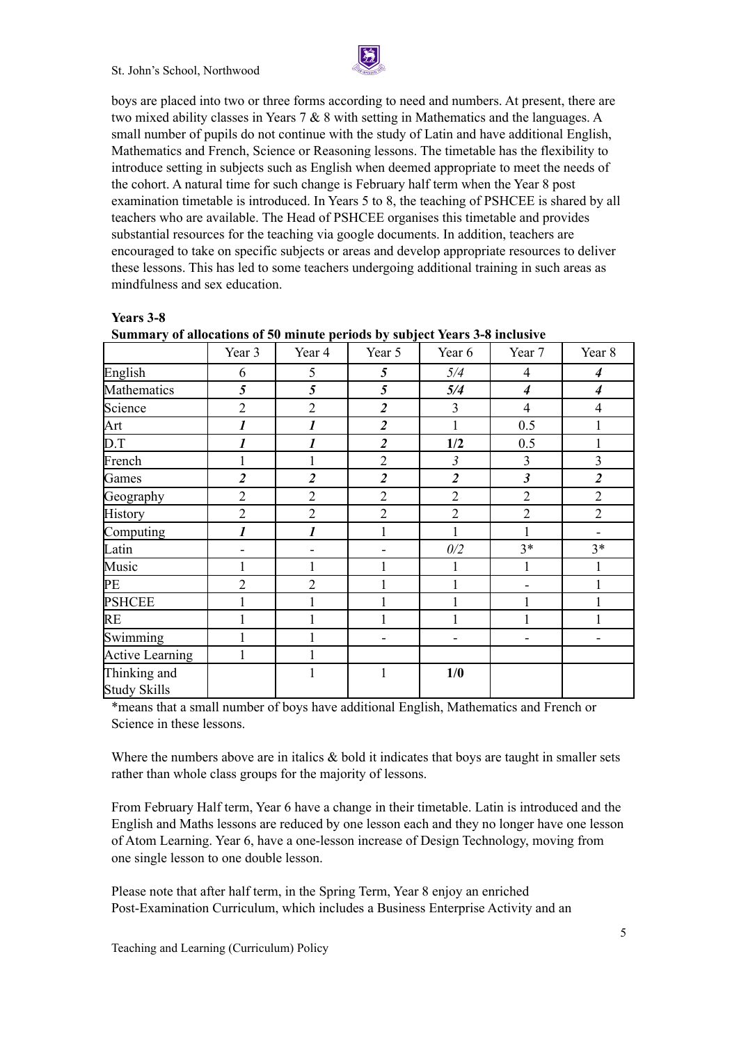

boys are placed into two or three forms according to need and numbers. At present, there are two mixed ability classes in Years 7 & 8 with setting in Mathematics and the languages. A small number of pupils do not continue with the study of Latin and have additional English, Mathematics and French, Science or Reasoning lessons. The timetable has the flexibility to introduce setting in subjects such as English when deemed appropriate to meet the needs of the cohort. A natural time for such change is February half term when the Year 8 post examination timetable is introduced. In Years 5 to 8, the teaching of PSHCEE is shared by all teachers who are available. The Head of PSHCEE organises this timetable and provides substantial resources for the teaching via google documents. In addition, teachers are encouraged to take on specific subjects or areas and develop appropriate resources to deliver these lessons. This has led to some teachers undergoing additional training in such areas as mindfulness and sex education.

|                                     |                  |                  | ு ச            |                |                      |                  |
|-------------------------------------|------------------|------------------|----------------|----------------|----------------------|------------------|
|                                     | Year 3           | Year 4           | Year 5         | Year 6         | Year 7               | Year 8           |
| English                             | 6                | 5                | 5              | 5/4            | $\overline{4}$       | $\overline{4}$   |
| Mathematics                         | 5                | 5                | 5              | 5/4            | $\boldsymbol{4}$     | $\boldsymbol{4}$ |
| Science                             | $\overline{2}$   | $\overline{2}$   | $\overline{2}$ | 3              | $\overline{4}$       | $\overline{4}$   |
| Art                                 | $\boldsymbol{l}$ | $\boldsymbol{l}$ | $\overline{2}$ | $\mathbf{1}$   | 0.5                  | $\mathbf{1}$     |
| D.T                                 | 1                | $\boldsymbol{l}$ | $\overline{c}$ | 1/2            | 0.5                  | 1                |
| French                              |                  |                  | $\overline{2}$ | $\mathfrak{Z}$ | $\overline{3}$       | 3                |
| Games                               | $\overline{2}$   | $\overline{2}$   | $\overline{2}$ | $\overline{2}$ | $\boldsymbol{\beta}$ | $\overline{2}$   |
| Geography                           | $\overline{2}$   | $\overline{2}$   | $\overline{2}$ | $\overline{2}$ | $\overline{2}$       | $\overline{2}$   |
| History                             | $\overline{2}$   | $\overline{2}$   | $\overline{2}$ | $\overline{2}$ | $\overline{2}$       | $\overline{2}$   |
| Computing                           | 1                | $\boldsymbol{l}$ |                |                |                      |                  |
| Latin                               |                  |                  |                | 0/2            | $3*$                 | $3*$             |
| Music                               |                  |                  |                |                |                      |                  |
| PE                                  | $\overline{2}$   | $\overline{2}$   |                |                |                      |                  |
| <b>PSHCEE</b>                       |                  |                  |                |                |                      |                  |
| RE                                  |                  |                  |                |                |                      |                  |
| Swimming                            |                  |                  |                |                |                      |                  |
| Active Learning                     | 1                |                  |                |                |                      |                  |
| Thinking and<br><b>Study Skills</b> |                  |                  | 1              | 1/0            |                      |                  |

| <b>Years 3-</b> | n |
|-----------------|---|
|-----------------|---|

**Summary of allocations of 50 minute periods by subject Years 3-8 inclusive**

\*means that a small number of boys have additional English, Mathematics and French or Science in these lessons.

Where the numbers above are in italics  $\&$  bold it indicates that boys are taught in smaller sets rather than whole class groups for the majority of lessons.

From February Half term, Year 6 have a change in their timetable. Latin is introduced and the English and Maths lessons are reduced by one lesson each and they no longer have one lesson of Atom Learning. Year 6, have a one-lesson increase of Design Technology, moving from one single lesson to one double lesson.

Please note that after half term, in the Spring Term, Year 8 enjoy an enriched Post-Examination Curriculum, which includes a Business Enterprise Activity and an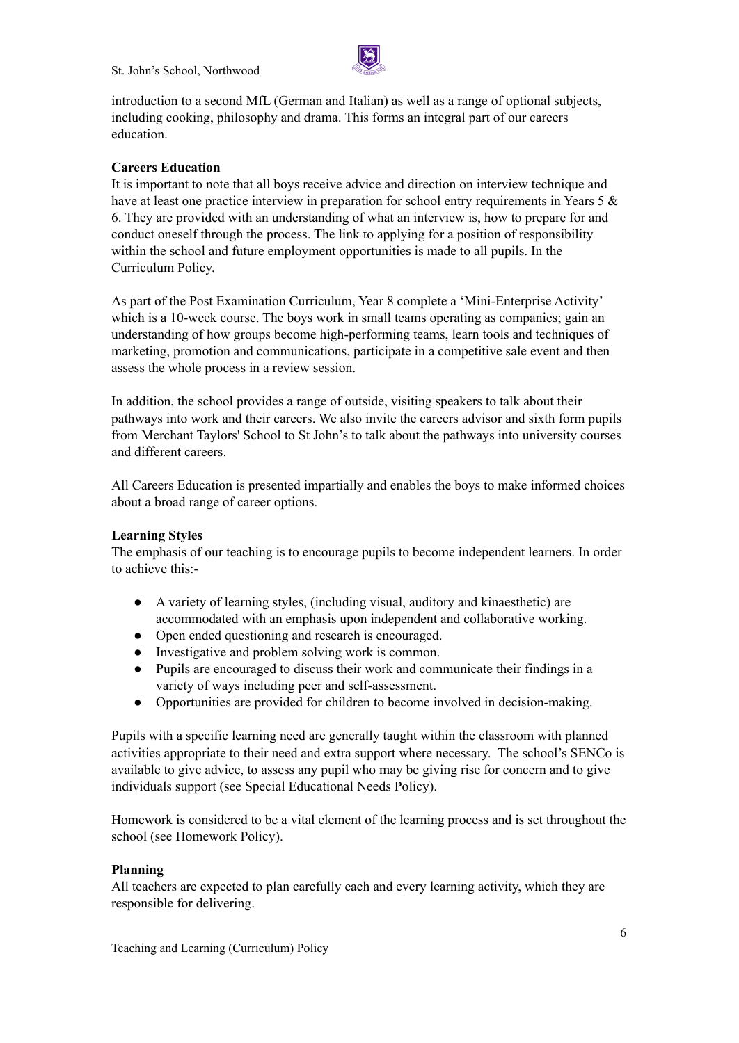

introduction to a second MfL (German and Italian) as well as a range of optional subjects, including cooking, philosophy and drama. This forms an integral part of our careers education.

## **Careers Education**

It is important to note that all boys receive advice and direction on interview technique and have at least one practice interview in preparation for school entry requirements in Years 5  $\&$ 6. They are provided with an understanding of what an interview is, how to prepare for and conduct oneself through the process. The link to applying for a position of responsibility within the school and future employment opportunities is made to all pupils. In the Curriculum Policy.

As part of the Post Examination Curriculum, Year 8 complete a 'Mini-Enterprise Activity' which is a 10-week course. The boys work in small teams operating as companies; gain an understanding of how groups become high-performing teams, learn tools and techniques of marketing, promotion and communications, participate in a competitive sale event and then assess the whole process in a review session.

In addition, the school provides a range of outside, visiting speakers to talk about their pathways into work and their careers. We also invite the careers advisor and sixth form pupils from Merchant Taylors' School to St John's to talk about the pathways into university courses and different careers.

All Careers Education is presented impartially and enables the boys to make informed choices about a broad range of career options.

## **Learning Styles**

The emphasis of our teaching is to encourage pupils to become independent learners. In order to achieve this:-

- A variety of learning styles, (including visual, auditory and kinaesthetic) are accommodated with an emphasis upon independent and collaborative working.
- Open ended questioning and research is encouraged.
- Investigative and problem solving work is common.
- Pupils are encouraged to discuss their work and communicate their findings in a variety of ways including peer and self-assessment.
- Opportunities are provided for children to become involved in decision-making.

Pupils with a specific learning need are generally taught within the classroom with planned activities appropriate to their need and extra support where necessary. The school's SENCo is available to give advice, to assess any pupil who may be giving rise for concern and to give individuals support (see Special Educational Needs Policy).

Homework is considered to be a vital element of the learning process and is set throughout the school (see Homework Policy).

## **Planning**

All teachers are expected to plan carefully each and every learning activity, which they are responsible for delivering.